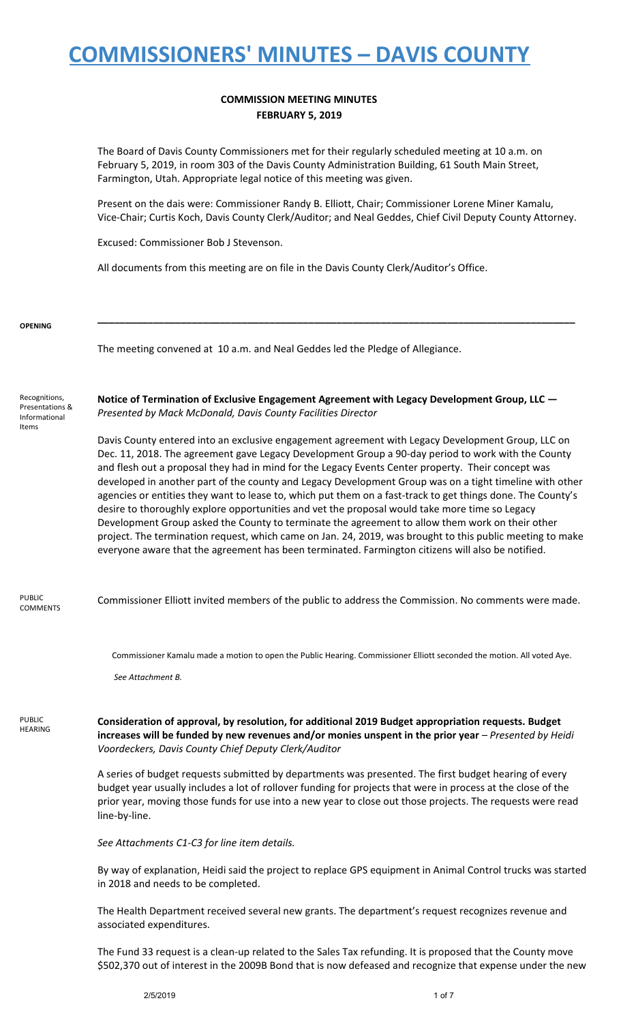#### **COMMISSION MEETING MINUTES FEBRUARY 5, 2019**

The Board of Davis County Commissioners met for their regularly scheduled meeting at 10 a.m. on February 5, 2019, in room 303 of the Davis County Administration Building, 61 South Main Street, Farmington, Utah. Appropriate legal notice of this meeting was given.

Present on the dais were: Commissioner Randy B. Elliott, Chair; Commissioner Lorene Miner Kamalu, Vice-Chair; Curtis Koch, Davis County Clerk/Auditor; and Neal Geddes, Chief Civil Deputy County Attorney.

**\_\_\_\_\_\_\_\_\_\_\_\_\_\_\_\_\_\_\_\_\_\_\_\_\_\_\_\_\_\_\_\_\_\_\_\_\_\_\_\_\_\_\_\_\_\_\_\_\_\_\_\_\_\_\_\_\_\_\_\_\_\_\_\_\_\_\_\_\_\_\_\_\_\_\_\_\_\_\_\_\_\_\_\_\_\_**

Excused: Commissioner Bob J Stevenson.

All documents from this meeting are on file in the Davis County Clerk/Auditor's Office.

#### **OPENING**

The meeting convened at 10 a.m. and Neal Geddes led the Pledge of Allegiance.

Recognitions, Presentations & Informational Items

PUBLIC

**Notice of Termination of Exclusive Engagement Agreement with Legacy Development Group, LLC —** *Presented by Mack McDonald, Davis County Facilities Director*

Davis County entered into an exclusive engagement agreement with Legacy Development Group, LLC on Dec. 11, 2018. The agreement gave Legacy Development Group a 90-day period to work with the County and flesh out a proposal they had in mind for the Legacy Events Center property. Their concept was developed in another part of the county and Legacy Development Group was on a tight timeline with other agencies or entities they want to lease to, which put them on a fast-track to get things done. The County's desire to thoroughly explore opportunities and vet the proposal would take more time so Legacy Development Group asked the County to terminate the agreement to allow them work on their other project. The termination request, which came on Jan. 24, 2019, was brought to this public meeting to make everyone aware that the agreement has been terminated. Farmington citizens will also be notified.

COMMENTS Commissioner Elliott invited members of the public to address the Commission. No comments were made.

Commissioner Kamalu made a motion to open the Public Hearing. Commissioner Elliott seconded the motion. All voted Aye.

 *See Attachment B.*

PUBLIC HEARING **Consideration of approval, by resolution, for additional 2019 Budget appropriation requests. Budget** increases will be funded by new revenues and/or monies unspent in the prior year - Presented by Heidi *Voordeckers, Davis County Chief Deputy Clerk/Auditor*

> A series of budget requests submitted by departments was presented. The first budget hearing of every budget year usually includes a lot of rollover funding for projects that were in process at the close of the prior year, moving those funds for use into a new year to close out those projects. The requests were read line-by-line.

*See Attachments C1-C3 for line item details.*

By way of explanation, Heidi said the project to replace GPS equipment in Animal Control trucks was started in 2018 and needs to be completed.

The Health Department received several new grants. The department's request recognizes revenue and associated expenditures.

The Fund 33 request is a clean-up related to the Sales Tax refunding. It is proposed that the County move \$502,370 out of interest in the 2009B Bond that is now defeased and recognize that expense under the new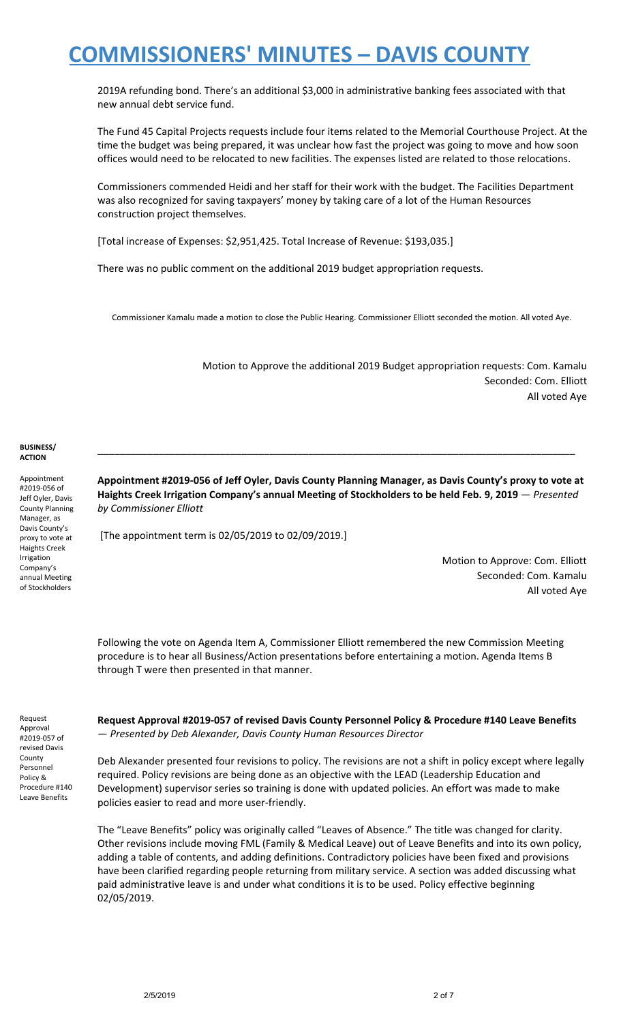2019A refunding bond. There's an additional \$3,000 in administrative banking fees associated with that new annual debt service fund.

The Fund 45 Capital Projects requests include four items related to the Memorial Courthouse Project. At the time the budget was being prepared, it was unclear how fast the project was going to move and how soon offices would need to be relocated to new facilities. The expenses listed are related to those relocations.

Commissioners commended Heidi and her staff for their work with the budget. The Facilities Department was also recognized for saving taxpayers' money by taking care of a lot of the Human Resources construction project themselves.

[Total increase of Expenses: \$2,951,425. Total Increase of Revenue: \$193,035.]

There was no public comment on the additional 2019 budget appropriation requests.

Commissioner Kamalu made a motion to close the Public Hearing. Commissioner Elliott seconded the motion. All voted Aye.

Motion to Approve the additional 2019 Budget appropriation requests: Com. Kamalu Seconded: Com. Elliott All voted Aye

#### **BUSINESS/ ACTION**

Appointment #2019-056 of Jeff Oyler, Davis County Planning Manager, as Davis County's proxy to vote at Haights Creek Irrigation Company's annual Meeting of Stockholders

**Appointment #2019-056 of Jeff Oyler, Davis County Planning Manager, as Davis County's proxy to vote at Haights Creek Irrigation Company's annual Meeting of Stockholders to be held Feb. 9, 2019** — *Presented by Commissioner Elliott*

**\_\_\_\_\_\_\_\_\_\_\_\_\_\_\_\_\_\_\_\_\_\_\_\_\_\_\_\_\_\_\_\_\_\_\_\_\_\_\_\_\_\_\_\_\_\_\_\_\_\_\_\_\_\_\_\_\_\_\_\_\_\_\_\_\_\_\_\_\_\_\_\_\_\_\_\_\_\_\_\_\_\_\_\_\_\_**

[The appointment term is 02/05/2019 to 02/09/2019.]

Motion to Approve: Com. Elliott Seconded: Com. Kamalu All voted Aye

Following the vote on Agenda Item A, Commissioner Elliott remembered the new Commission Meeting procedure is to hear all Business/Action presentations before entertaining a motion. Agenda Items B through T were then presented in that manner.

Request Approval #2019-057 of revised Davis **County** Personnel Policy & Procedure #140 Leave Benefits

**Request Approval #2019-057 of revised Davis County Personnel Policy & Procedure #140 Leave Benefits** — *Presented by Deb Alexander, Davis County Human Resources Director*

Deb Alexander presented four revisions to policy. The revisions are not a shift in policy except where legally required. Policy revisions are being done as an objective with the LEAD (Leadership Education and Development) supervisor series so training is done with updated policies. An effort was made to make policies easier to read and more user-friendly.

The "Leave Benefits" policy was originally called "Leaves of Absence." The title was changed for clarity. Other revisions include moving FML (Family & Medical Leave) out of Leave Benefits and into its own policy, adding a table of contents, and adding definitions. Contradictory policies have been fixed and provisions have been clarified regarding people returning from military service. A section was added discussing what paid administrative leave is and under what conditions it is to be used. Policy effective beginning 02/05/2019.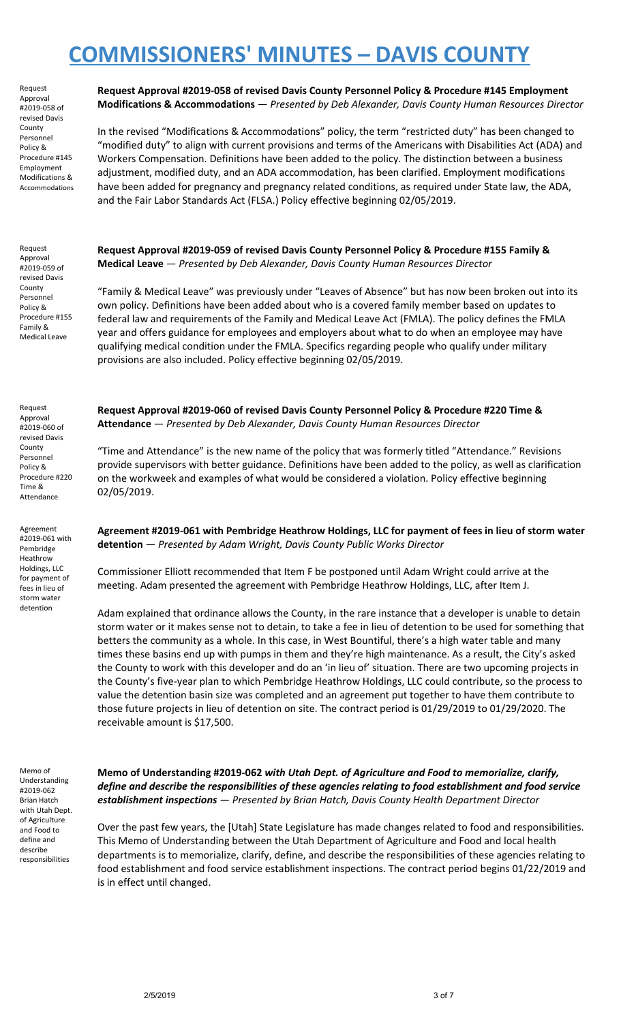Request Approval #2019-058 of revised Davis County Personnel Policy & Procedure #145 Employment Modifications & Accommodations

Request Approval #2019-059 of revised Davis County Personnel Policy & Procedure #155 Family & Medical Leave

**Request Approval #2019-058 of revised Davis County Personnel Policy & Procedure #145 Employment Modifications & Accommodations** — *Presented by Deb Alexander, Davis County Human Resources Director*

In the revised "Modifications & Accommodations" policy, the term "restricted duty" has been changed to "modified duty" to align with current provisions and terms of the Americans with Disabilities Act (ADA) and Workers Compensation. Definitions have been added to the policy. The distinction between a business adjustment, modified duty, and an ADA accommodation, has been clarified. Employment modifications have been added for pregnancy and pregnancy related conditions, as required under State law, the ADA, and the Fair Labor Standards Act (FLSA.) Policy effective beginning 02/05/2019.

**Request Approval #2019-059 of revised Davis County Personnel Policy & Procedure #155 Family & Medical Leave** — *Presented by Deb Alexander, Davis County Human Resources Director*

"Family & Medical Leave" was previously under "Leaves of Absence" but has now been broken out into its own policy. Definitions have been added about who is a covered family member based on updates to federal law and requirements of the Family and Medical Leave Act (FMLA). The policy defines the FMLA year and offers guidance for employees and employers about what to do when an employee may have qualifying medical condition under the FMLA. Specifics regarding people who qualify under military provisions are also included. Policy effective beginning 02/05/2019.

Request Approval #2019-060 of revised Davis County Personnel Policy & Procedure #220 Time & Attendance

Agreement #2019-061 with Pembridge Heathrow Holdings, LLC for payment of fees in lieu of storm water detention

**Request Approval #2019-060 of revised Davis County Personnel Policy & Procedure #220 Time & Attendance** — *Presented by Deb Alexander, Davis County Human Resources Director*

"Time and Attendance" is the new name of the policy that was formerly titled "Attendance." Revisions provide supervisors with better guidance. Definitions have been added to the policy, as well as clarification on the workweek and examples of what would be considered a violation. Policy effective beginning 02/05/2019.

**Agreement #2019-061 with Pembridge Heathrow Holdings, LLC for payment of fees in lieu of storm water detention** — *Presented by Adam Wright, Davis County Public Works Director*

Commissioner Elliott recommended that Item F be postponed until Adam Wright could arrive at the meeting. Adam presented the agreement with Pembridge Heathrow Holdings, LLC, after Item J.

Adam explained that ordinance allows the County, in the rare instance that a developer is unable to detain storm water or it makes sense not to detain, to take a fee in lieu of detention to be used for something that betters the community as a whole. In this case, in West Bountiful, there's a high water table and many times these basins end up with pumps in them and they're high maintenance. As a result, the City's asked the County to work with this developer and do an 'in lieu of' situation. There are two upcoming projects in the County's five-year plan to which Pembridge Heathrow Holdings, LLC could contribute, so the process to value the detention basin size was completed and an agreement put together to have them contribute to those future projects in lieu of detention on site. The contract period is 01/29/2019 to 01/29/2020. The receivable amount is \$17,500.

Memo of Understanding #2019-062 Brian Hatch with Utah Dept. of Agriculture and Food to define and describe responsibilities

**Memo of Understanding #2019-062** *with Utah Dept. of Agriculture and Food to memorialize, clarify, define and describe the responsibilities of these agencies relating to food establishment and food service establishment inspections* — *Presented by Brian Hatch, Davis County Health Department Director*

Over the past few years, the [Utah] State Legislature has made changes related to food and responsibilities. This Memo of Understanding between the Utah Department of Agriculture and Food and local health departments is to memorialize, clarify, define, and describe the responsibilities of these agencies relating to food establishment and food service establishment inspections. The contract period begins 01/22/2019 and is in effect until changed.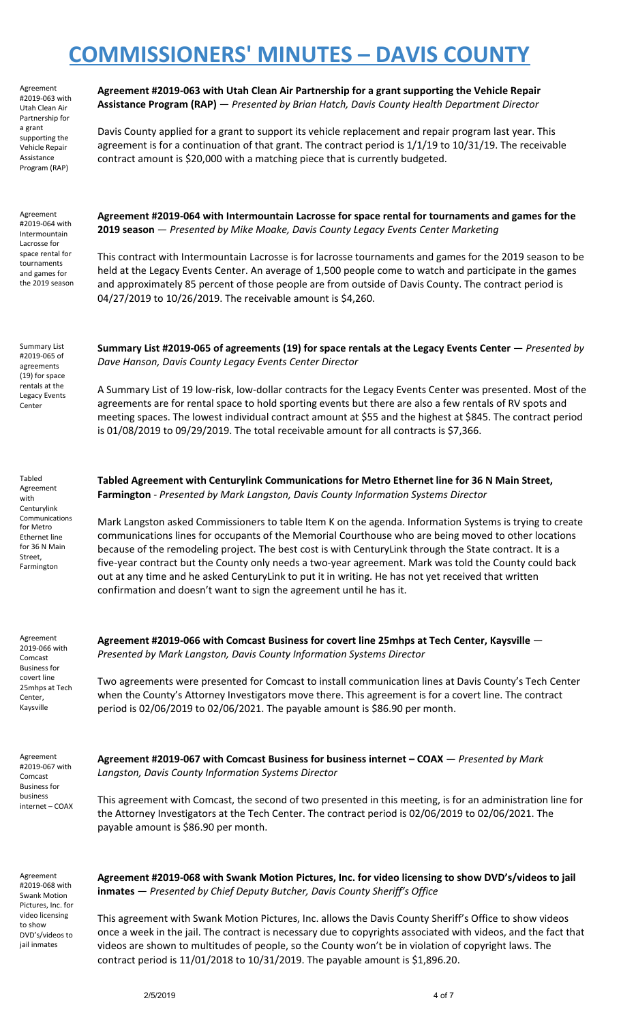Agreement #2019-063 with Utah Clean Air Partnership for a grant supporting the Vehicle Repair Assistance Program (RAP)

**Agreement #2019-063 with Utah Clean Air Partnership for a grant supporting the Vehicle Repair Assistance Program (RAP)** — *Presented by Brian Hatch, Davis County Health Department Director*

Davis County applied for a grant to support its vehicle replacement and repair program last year. This agreement is for a continuation of that grant. The contract period is 1/1/19 to 10/31/19. The receivable contract amount is \$20,000 with a matching piece that is currently budgeted.

Agreement #2019-064 with Intermountain Lacrosse for space rental for tournaments and games for the 2019 season **Agreement #2019-064 with Intermountain Lacrosse for space rental for tournaments and games for the 2019 season** — *Presented by Mike Moake, Davis County Legacy Events Center Marketing*

This contract with Intermountain Lacrosse is for lacrosse tournaments and games for the 2019 season to be held at the Legacy Events Center. An average of 1,500 people come to watch and participate in the games and approximately 85 percent of those people are from outside of Davis County. The contract period is 04/27/2019 to 10/26/2019. The receivable amount is \$4,260.

Summary List #2019-065 of agreements (19) for space rentals at the Legacy Events Center

**Summary List #2019-065 of agreements (19) for space rentals at the Legacy Events Center** — *Presented by Dave Hanson, Davis County Legacy Events Center Director*

A Summary List of 19 low-risk, low-dollar contracts for the Legacy Events Center was presented. Most of the agreements are for rental space to hold sporting events but there are also a few rentals of RV spots and meeting spaces. The lowest individual contract amount at \$55 and the highest at \$845. The contract period is 01/08/2019 to 09/29/2019. The total receivable amount for all contracts is \$7,366.

Tabled Agreement with Centurylink Communications for Metro Ethernet line for 36 N Main Street, Farmington

Agreement 2019-066 with Comcast Business for covert line 25mhps at Tech Center, Kaysville

Agreement #2019-067 with Comcast Business for business internet – COAX **Tabled Agreement with Centurylink Communications for Metro Ethernet line for 36 N Main Street, Farmington** - *Presented by Mark Langston, Davis County Information Systems Director*

Mark Langston asked Commissioners to table Item K on the agenda. Information Systems is trying to create communications lines for occupants of the Memorial Courthouse who are being moved to other locations because of the remodeling project. The best cost is with CenturyLink through the State contract. It is a five-year contract but the County only needs a two-year agreement. Mark was told the County could back out at any time and he asked CenturyLink to put it in writing. He has not yet received that written confirmation and doesn't want to sign the agreement until he has it.

**Agreement #2019-066 with Comcast Business for covert line 25mhps at Tech Center, Kaysville** — *Presented by Mark Langston, Davis County Information Systems Director*

Two agreements were presented for Comcast to install communication lines at Davis County's Tech Center when the County's Attorney Investigators move there. This agreement is for a covert line. The contract period is 02/06/2019 to 02/06/2021. The payable amount is \$86.90 per month.

**Agreement #2019-067 with Comcast Business for business internet – COAX** — *Presented by Mark Langston, Davis County Information Systems Director*

This agreement with Comcast, the second of two presented in this meeting, is for an administration line for the Attorney Investigators at the Tech Center. The contract period is 02/06/2019 to 02/06/2021. The payable amount is \$86.90 per month.

Agreement #2019-068 with Swank Motion Pictures, Inc. for video licensing to show DVD's/videos to jail inmates

**Agreement #2019-068 with Swank Motion Pictures, Inc. for video licensing to show DVD's/videos to jail inmates** — *Presented by Chief Deputy Butcher, Davis County Sheriff's Office*

This agreement with Swank Motion Pictures, Inc. allows the Davis County Sheriff's Office to show videos once a week in the jail. The contract is necessary due to copyrights associated with videos, and the fact that videos are shown to multitudes of people, so the County won't be in violation of copyright laws. The contract period is 11/01/2018 to 10/31/2019. The payable amount is \$1,896.20.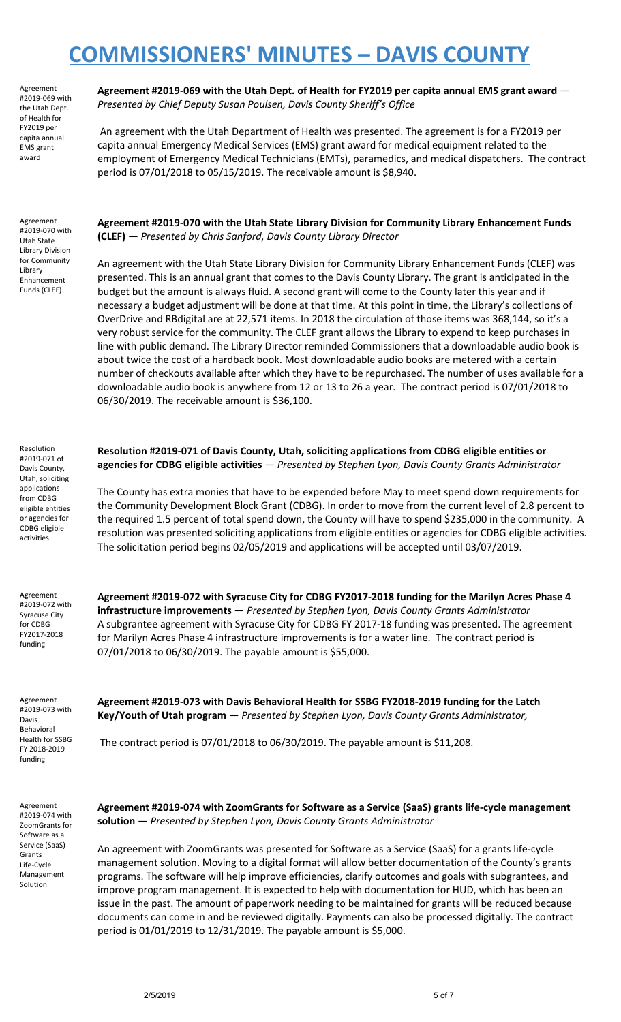Agreement #2019-069 with the Utah Dept. of Health for FY2019 per capita annual EMS grant award

Agreement #2019-070 with Utah State Library Division for Community Library Enhancement Funds (CLEF)

Resolution #2019-071 of Davis County, Utah, soliciting applications from CDBG eligible entities or agencies for CDBG eligible activities

Agreement #2019-072 with Syracuse City for CDBG FY2017-2018 funding

**Agreement #2019-069 with the Utah Dept. of Health for FY2019 per capita annual EMS grant award** — *Presented by Chief Deputy Susan Poulsen, Davis County Sheriff's Office*

An agreement with the Utah Department of Health was presented. The agreement is for a FY2019 per capita annual Emergency Medical Services (EMS) grant award for medical equipment related to the employment of Emergency Medical Technicians (EMTs), paramedics, and medical dispatchers. The contract period is 07/01/2018 to 05/15/2019. The receivable amount is \$8,940.

**Agreement #2019-070 with the Utah State Library Division for Community Library Enhancement Funds (CLEF)** — *Presented by Chris Sanford, Davis County Library Director*

An agreement with the Utah State Library Division for Community Library Enhancement Funds (CLEF) was presented. This is an annual grant that comes to the Davis County Library. The grant is anticipated in the budget but the amount is always fluid. A second grant will come to the County later this year and if necessary a budget adjustment will be done at that time. At this point in time, the Library's collections of OverDrive and RBdigital are at 22,571 items. In 2018 the circulation of those items was 368,144, so it's a very robust service for the community. The CLEF grant allows the Library to expend to keep purchases in line with public demand. The Library Director reminded Commissioners that a downloadable audio book is about twice the cost of a hardback book. Most downloadable audio books are metered with a certain number of checkouts available after which they have to be repurchased. The number of uses available for a downloadable audio book is anywhere from 12 or 13 to 26 a year. The contract period is 07/01/2018 to 06/30/2019. The receivable amount is \$36,100.

**Resolution #2019-071 of Davis County, Utah, soliciting applications from CDBG eligible entities or agencies for CDBG eligible activities** — *Presented by Stephen Lyon, Davis County Grants Administrator*

The County has extra monies that have to be expended before May to meet spend down requirements for the Community Development Block Grant (CDBG). In order to move from the current level of 2.8 percent to the required 1.5 percent of total spend down, the County will have to spend \$235,000 in the community. A resolution was presented soliciting applications from eligible entities or agencies for CDBG eligible activities. The solicitation period begins 02/05/2019 and applications will be accepted until 03/07/2019.

**Agreement #2019-072 with Syracuse City for CDBG FY2017-2018 funding for the Marilyn Acres Phase 4 infrastructure improvements** — *Presented by Stephen Lyon, Davis County Grants Administrator* A subgrantee agreement with Syracuse City for CDBG FY 2017-18 funding was presented. The agreement for Marilyn Acres Phase 4 infrastructure improvements is for a water line. The contract period is 07/01/2018 to 06/30/2019. The payable amount is \$55,000.

Agreement #2019-073 with Davis Behavioral Health for SSBG FY 2018-2019 funding

**Agreement #2019-073 with Davis Behavioral Health for SSBG FY2018-2019 funding for the Latch Key/Youth of Utah program** — *Presented by Stephen Lyon, Davis County Grants Administrator,*

The contract period is 07/01/2018 to 06/30/2019. The payable amount is \$11,208.

Agreement #2019-074 with ZoomGrants for Software as a Service (SaaS) Grants Life-Cycle Management Solution

**Agreement #2019-074 with ZoomGrants for Software as a Service (SaaS) grants life-cycle management solution** — *Presented by Stephen Lyon, Davis County Grants Administrator*

An agreement with ZoomGrants was presented for Software as a Service (SaaS) for a grants life-cycle management solution. Moving to a digital format will allow better documentation of the County's grants programs. The software will help improve efficiencies, clarify outcomes and goals with subgrantees, and improve program management. It is expected to help with documentation for HUD, which has been an issue in the past. The amount of paperwork needing to be maintained for grants will be reduced because documents can come in and be reviewed digitally. Payments can also be processed digitally. The contract period is 01/01/2019 to 12/31/2019. The payable amount is \$5,000.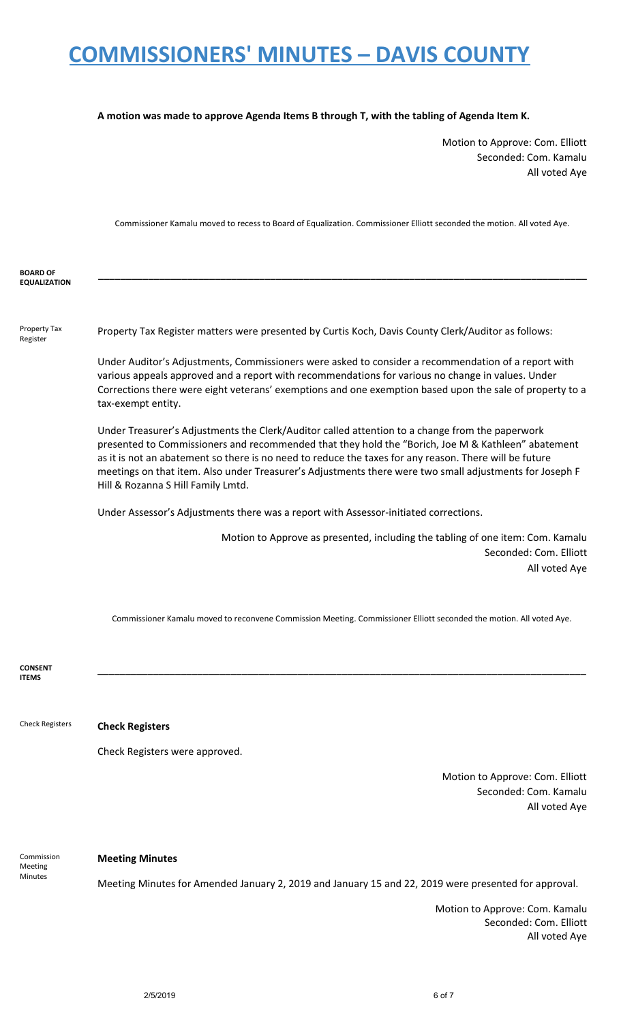#### **A motion was made to approve Agenda Items B through T, with the tabling of Agenda Item K.**

Motion to Approve: Com. Elliott Seconded: Com. Kamalu All voted Aye

Commissioner Kamalu moved to recess to Board of Equalization. Commissioner Elliott seconded the motion. All voted Aye.

| <b>BOARD OF</b><br><b>EQUALIZATION</b> |                                                                                                                                                                                                                                                                                                                                                                                                                                                                  |
|----------------------------------------|------------------------------------------------------------------------------------------------------------------------------------------------------------------------------------------------------------------------------------------------------------------------------------------------------------------------------------------------------------------------------------------------------------------------------------------------------------------|
| Property Tax<br>Register               | Property Tax Register matters were presented by Curtis Koch, Davis County Clerk/Auditor as follows:                                                                                                                                                                                                                                                                                                                                                              |
|                                        | Under Auditor's Adjustments, Commissioners were asked to consider a recommendation of a report with<br>various appeals approved and a report with recommendations for various no change in values. Under<br>Corrections there were eight veterans' exemptions and one exemption based upon the sale of property to a<br>tax-exempt entity.                                                                                                                       |
|                                        | Under Treasurer's Adjustments the Clerk/Auditor called attention to a change from the paperwork<br>presented to Commissioners and recommended that they hold the "Borich, Joe M & Kathleen" abatement<br>as it is not an abatement so there is no need to reduce the taxes for any reason. There will be future<br>meetings on that item. Also under Treasurer's Adjustments there were two small adjustments for Joseph F<br>Hill & Rozanna S Hill Family Lmtd. |
|                                        | Under Assessor's Adjustments there was a report with Assessor-initiated corrections.                                                                                                                                                                                                                                                                                                                                                                             |
|                                        | Motion to Approve as presented, including the tabling of one item: Com. Kamalu<br>Seconded: Com. Elliott<br>All voted Aye                                                                                                                                                                                                                                                                                                                                        |
|                                        | Commissioner Kamalu moved to reconvene Commission Meeting. Commissioner Elliott seconded the motion. All voted Aye.                                                                                                                                                                                                                                                                                                                                              |
| <b>CONSENT</b><br><b>ITEMS</b>         |                                                                                                                                                                                                                                                                                                                                                                                                                                                                  |
| <b>Check Registers</b>                 | <b>Check Registers</b>                                                                                                                                                                                                                                                                                                                                                                                                                                           |
|                                        | Check Registers were approved.                                                                                                                                                                                                                                                                                                                                                                                                                                   |
|                                        | Motion to Approve: Com. Elliott<br>Seconded: Com. Kamalu<br>All voted Aye                                                                                                                                                                                                                                                                                                                                                                                        |
| Commission<br>Meeting<br>Minutes       | <b>Meeting Minutes</b>                                                                                                                                                                                                                                                                                                                                                                                                                                           |
|                                        | Meeting Minutes for Amended January 2, 2019 and January 15 and 22, 2019 were presented for approval.                                                                                                                                                                                                                                                                                                                                                             |
|                                        | Motion to Approve: Com. Kamalu                                                                                                                                                                                                                                                                                                                                                                                                                                   |

otion to App Seconded: Com. Elliott All voted Aye